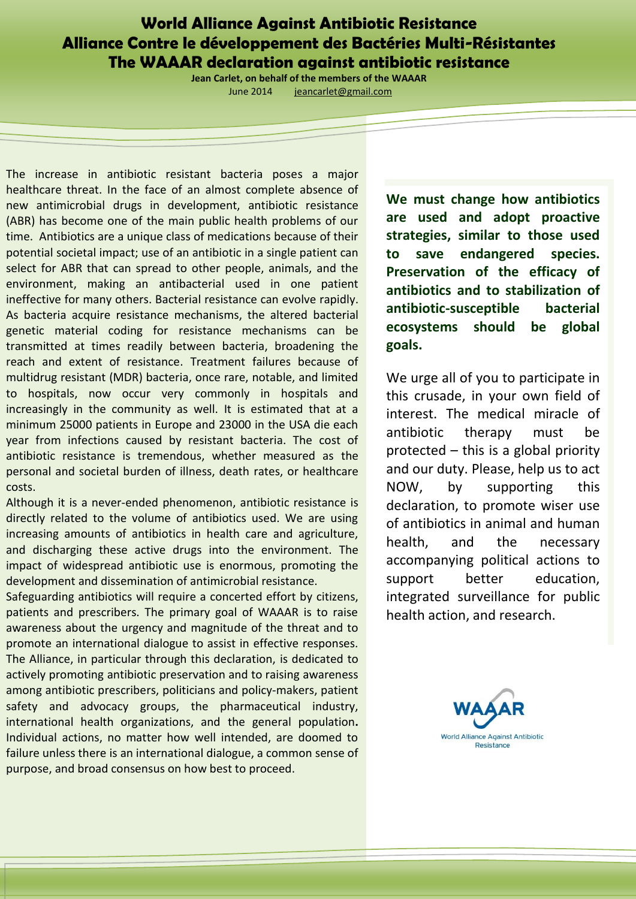## **World Alliance Against Antibiotic Resistance Alliance Contre le développement des Bactéries Multi-Résistantes The WAAAR declaration against antibiotic resistance**

**Jean Carlet, on behalf of the members of the WAAAR** June 2014 [jeancarlet@gmail.com](mailto:jeancarlet@gmail.com)

The increase in antibiotic resistant bacteria poses a major healthcare threat. In the face of an almost complete absence of new antimicrobial drugs in development, antibiotic resistance (ABR) has become one of the main public health problems of our time. Antibiotics are a unique class of medications because of their potential societal impact; use of an antibiotic in a single patient can select for ABR that can spread to other people, animals, and the environment, making an antibacterial used in one patient ineffective for many others. Bacterial resistance can evolve rapidly. As bacteria acquire resistance mechanisms, the altered bacterial genetic material coding for resistance mechanisms can be transmitted at times readily between bacteria, broadening the reach and extent of resistance. Treatment failures because of multidrug resistant (MDR) bacteria, once rare, notable, and limited to hospitals, now occur very commonly in hospitals and increasingly in the community as well. It is estimated that at a minimum 25000 patients in Europe and 23000 in the USA die each year from infections caused by resistant bacteria. The cost of antibiotic resistance is tremendous, whether measured as the personal and societal burden of illness, death rates, or healthcare costs.

Although it is a never-ended phenomenon, antibiotic resistance is directly related to the volume of antibiotics used. We are using increasing amounts of antibiotics in health care and agriculture, and discharging these active drugs into the environment. The impact of widespread antibiotic use is enormous, promoting the development and dissemination of antimicrobial resistance.

Safeguarding antibiotics will require a concerted effort by citizens, patients and prescribers. The primary goal of WAAAR is to raise awareness about the urgency and magnitude of the threat and to promote an international dialogue to assist in effective responses. The Alliance, in particular through this declaration, is dedicated to actively promoting antibiotic preservation and to raising awareness among antibiotic prescribers, politicians and policy-makers, patient safety and advocacy groups, the pharmaceutical industry, international health organizations, and the general population**.** Individual actions, no matter how well intended, are doomed to failure unless there is an international dialogue, a common sense of purpose, and broad consensus on how best to proceed.

**We must change how antibiotics are used and adopt proactive strategies, similar to those used to save endangered species. Preservation of the efficacy of antibiotics and to stabilization of antibiotic-susceptible bacterial ecosystems should be global goals.**

We urge all of you to participate in this crusade, in your own field of interest. The medical miracle of antibiotic therapy must be protected – this is a global priority and our duty. Please, help us to act NOW, by supporting this declaration, to promote wiser use of antibiotics in animal and human health, and the necessary accompanying political actions to support better education, integrated surveillance for public health action, and research.

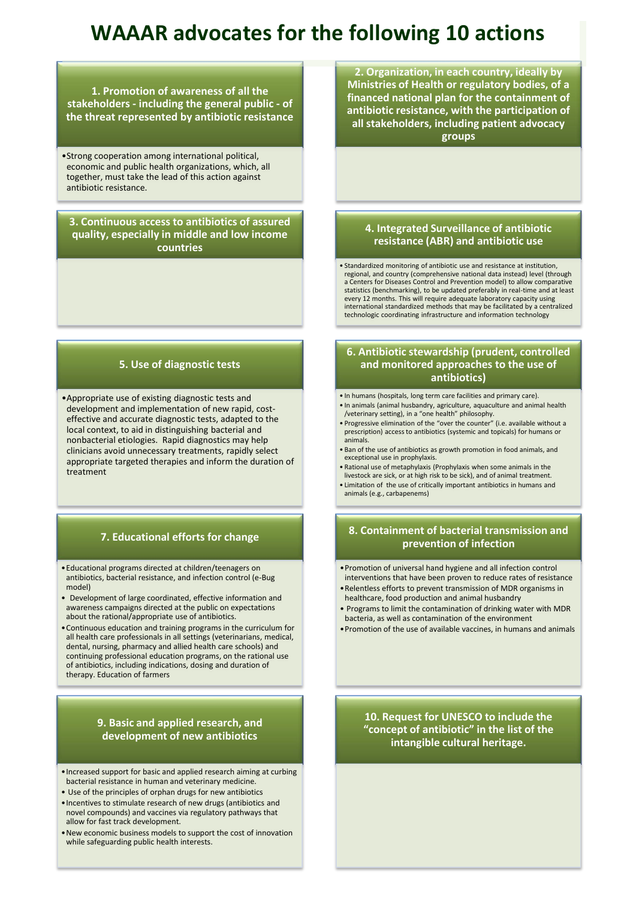# **WAAAR advocates for the following 10 actions**

**1. Promotion of awareness of all the stakeholders - including the general public - of the threat represented by antibiotic resistance**

•Strong cooperation among international political, economic and public health organizations, which, all together, must take the lead of this action against antibiotic resistance.

**3. Continuous access to antibiotics of assured quality, especially in middle and low income countries**

### **5. Use of diagnostic tests**

•Appropriate use of existing diagnostic tests and development and implementation of new rapid, costeffective and accurate diagnostic tests, adapted to the local context, to aid in distinguishing bacterial and nonbacterial etiologies. Rapid diagnostics may help clinicians avoid unnecessary treatments, rapidly select appropriate targeted therapies and inform the duration of treatment

## **7. Educational efforts for change**

- •Educational programs directed at children/teenagers on antibiotics, bacterial resistance, and infection control (e-Bug model)
- Development of large coordinated, effective information and awareness campaigns directed at the public on expectations about the rational/appropriate use of antibiotics.
- •Continuous education and training programs in the curriculum for all health care professionals in all settings (veterinarians, medical, dental, nursing, pharmacy and allied health care schools) and continuing professional education programs, on the rational use of antibiotics, including indications, dosing and duration of therapy. Education of farmers

### **9. Basic and applied research, and development of new antibiotics**

- •Increased support for basic and applied research aiming at curbing bacterial resistance in human and veterinary medicine.
- Use of the principles of orphan drugs for new antibiotics
- •Incentives to stimulate research of new drugs (antibiotics and novel compounds) and vaccines via regulatory pathways that allow for fast track development.
- •New economic business models to support the cost of innovation while safeguarding public health interests.

**2. Organization, in each country, ideally by Ministries of Health or regulatory bodies, of a financed national plan for the containment of antibiotic resistance, with the participation of all stakeholders, including patient advocacy groups**

#### **4. Integrated Surveillance of antibiotic resistance (ABR) and antibiotic use**

• Standardized monitoring of antibiotic use and resistance at institution, regional, and country (comprehensive national data instead) level (through a Centers for Diseases Control and Prevention model) to allow comparative statistics (benchmarking), to be updated preferably in real-time and at least every 12 months. This will require adequate laboratory capacity using international standardized methods that may be facilitated by a centralized technologic coordinating infrastructure and information technology

## **6. Antibiotic stewardship (prudent, controlled and monitored approaches to the use of antibiotics)**

- In humans (hospitals, long term care facilities and primary care).
- In animals (animal husbandry, agriculture, aquaculture and animal health /veterinary setting), in a "one health" philosophy.
- Progressive elimination of the "over the counter" (i.e. available without a prescription) access to antibiotics (systemic and topicals) for humans or animals.
- Ban of the use of antibiotics as growth promotion in food animals, and exceptional use in prophylaxis.
- Rational use of metaphylaxis (Prophylaxis when some animals in the livestock are sick, or at high risk to be sick), and of animal treatment.
- Limitation of the use of critically important antibiotics in humans and animals (e.g., carbapenems)

## **8. Containment of bacterial transmission and prevention of infection**

- •Promotion of universal hand hygiene and all infection control interventions that have been proven to reduce rates of resistance
- •Relentless efforts to prevent transmission of MDR organisms in healthcare, food production and animal husbandry
- Programs to limit the contamination of drinking water with MDR bacteria, as well as contamination of the environment
- •Promotion of the use of available vaccines, in humans and animals

**10. Request for UNESCO to include the "concept of antibiotic" in the list of the intangible cultural heritage.**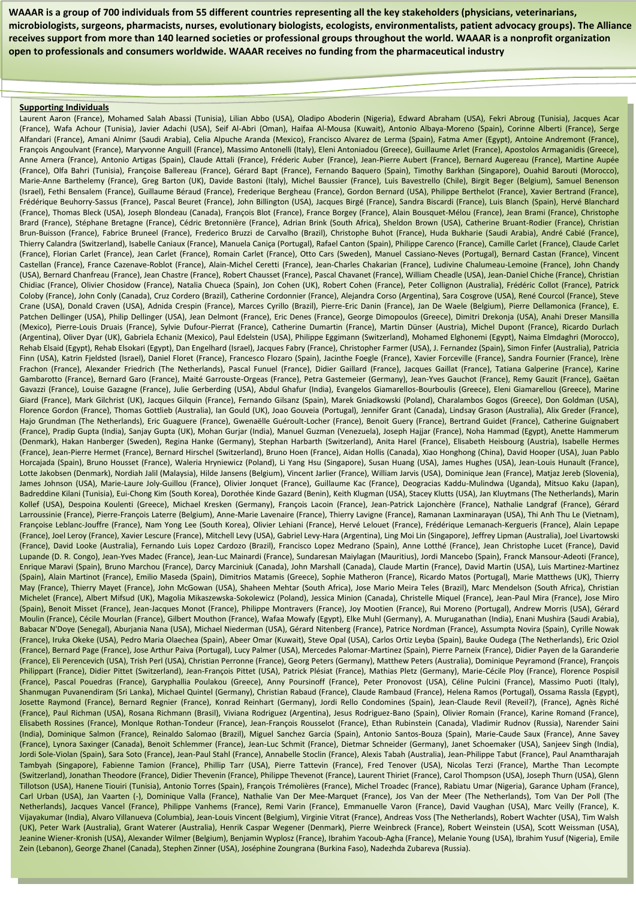**WAAAR is a group of 700 individuals from 55 different countries representing all the key stakeholders (physicians, veterinarians, microbiologists, surgeons, pharmacists, nurses, evolutionary biologists, ecologists, environmentalists, patient advocacy groups). The Alliance receives support from more than 140 learned societies or professional groups throughout the world. WAAAR is a nonprofit organization open to professionals and consumers worldwide. WAAAR receives no funding from the pharmaceutical industry**

#### **Supporting Individuals**

receives no funding from the pharmaceutical industry

Laurent Aaron (France), Mohamed Salah Abassi (Tunisia), Lilian Abbo (USA), Oladipo Aboderin (Nigeria), Edward Abraham (USA), Fekri Abroug (Tunisia), Jacques Acar (France), Wafa Achour (Tunisia), Javier Adachi (USA), Seif Al-Abri (Oman), Haifaa Al-Mousa (Kuwait), Antonio Albaya-Moreno (Spain), Corinne Alberti (France), Serge Alfandari (France), Amani Alnimr (Saudi Arabia), Celia Alpuche Aranda (Mexico), Francisco Alvarez de Lerma (Spain), Fatma Amer (Egypt), Antoine Andremont (France), François Angoulvant (France), Maryvonne Anguill (France), Massimo Antonelli (Italy), Eleni Antoniadou (Greece), Guillaume Arlet (France), Apostolos Armaganidis (Greece), Anne Arnera (France), Antonio Artigas (Spain), Claude Attali (France), Fréderic Auber (France), Jean-Pierre Aubert (France), Bernard Augereau (France), Martine Aupée (France), Olfa Bahri (Tunisia), Françoise Ballereau (France), Gérard Bapt (France), Fernando Baquero (Spain), Timothy Barkhan (Singapore), Ouahid Barouti (Morocco), Marie-Anne Barthelemy (France), Greg Barton (UK), Davide Bastoni (Italy), Michel Baussier (France), Luis Bavestrello (Chile), Birgit Beger (Belgium), Samuel Benenson (Israel), Fethi Bensalem (France), Guillaume Béraud (France), Frederique Bergheau (France), Gordon Bernard (USA), Philippe Berthelot (France), Xavier Bertrand (France), Frédérique Beuhorry-Sassus (France), Pascal Beuret (France), John Billington (USA), Jacques Birgé (France), Sandra Biscardi (France), Luis Blanch (Spain), Hervé Blanchard (France), Thomas Bleck (USA), Joseph Blondeau (Canada), François Blot (France), France Borgey (France), Alain Bousquet-Mélou (France), Jean Brami (France), Christophe Brard (France), Stéphane Bretagne (France), Cédric Bretonnière (France), Adrian Brink (South Africa), Sheldon Brown (USA), Catherine Bruant-Rodier (France), Christian Brun-Buisson (France), Fabrice Bruneel (France), Frederico Bruzzi de Carvalho (Brazil), Christophe Buhot (France), Huda Bukharie (Saudi Arabia), André Cabié (France), Thierry Calandra (Switzerland), Isabelle Caniaux (France), Manuela Caniça (Portugal), Rafael Canton (Spain), Philippe Carenco (France), Camille Carlet (France), Claude Carlet (France), Florian Carlet (France), Jean Carlet (France), Romain Carlet (France), Otto Cars (Sweden), Manuel Cassiano-Neves (Portugal), Bernard Castan (France), Vincent Castellan (France), France Cazenave-Roblot (France), Alain-Michel Ceretti (France), Jean-Charles Chakarian (France), Ludivine Chalumeau-Lemoine (France), John Chandy (USA), Bernard Chanfreau (France), Jean Chastre (France), Robert Chausset (France), Pascal Chavanet (France), William Cheadle (USA), Jean-Daniel Chiche (France), Christian Chidiac (France), Olivier Chosidow (France), Natalia Chueca (Spain), Jon Cohen (UK), Robert Cohen (France), Peter Collignon (Australia), Frédéric Collot (France), Patrick Coloby (France), John Conly (Canada), Cruz Cordero (Brazil), Catherine Cordonnier (France), Alejandra Corso (Argentina), Sara Cosgrove (USA), René Courcol (France), Steve Crane (USA), Donald Craven (USA), Adnida Crespin (France), Marces Cyrillo (Brazil), Pierre-Eric Danin (France), Jan De Waele (Belgium), Pierre Dellamonica (France), E. Patchen Dellinger (USA), Philip Dellinger (USA), Jean Delmont (France), Eric Denes (France), George Dimopoulos (Greece), Dimitri Drekonja (USA), Anahi Dreser Mansilla (Mexico), Pierre-Louis Druais (France), Sylvie Dufour-Pierrat (France), Catherine Dumartin (France), Martin Dünser (Austria), Michel Dupont (France), Ricardo Durlach (Argentina), Oliver Dyar (UK), Gabriela Echaniz (Mexico), Paul Edelstein (USA), Philippe Eggimann (Switzerland), Mohamed Elghonemi (Egypt), Naima Elmdaghri (Morocco), Rehab Elsaid (Egypt), Rehab Elsokari (Egypt), Dan Engelhard (Israel), Jacques Fabry (France), Christopher Farmer (USA), J. Fernandez (Spain), Simon Finfer (Australia), Patricia Finn (USA), Katrin Fjeldsted (Israel), Daniel Floret (France), Francesco Flozaro (Spain), Jacinthe Foegle (France), Xavier Forceville (France), Sandra Fournier (France), Irène Frachon (France), Alexander Friedrich (The Netherlands), Pascal Funuel (France), Didier Gaillard (France), Jacques Gaillat (France), Tatiana Galperine (France), Karine Gambarotto (France), Bernard Garo (France), Maité Garrouste-Orgeas (France), Petra Gastemeier (Germany), Jean-Yves Gauchot (France), Remy Gauzit (France), Gaëtan Gavazzi (France), Louise Gazagne (France), Julie Gerberding (USA), Abdul Ghafur (India), Evangelos Giamarellos-Bourboulis (Greece), Eleni Giamarellou (Greece), Marine Giard (France), Mark Gilchrist (UK), Jacques Gilquin (France), Fernando Gilsanz (Spain), Marek Gniadkowski (Poland), Charalambos Gogos (Greece), Don Goldman (USA), Florence Gordon (France), Thomas Gottlieb (Australia), Ian Gould (UK), Joao Gouveia (Portugal), Jennifer Grant (Canada), Lindsay Grason (Australia), Alix Greder (France), Hajo Grundman (The Netherlands), Eric Guaguere (France), Gwenaëlle Guéroult-Locher (France), Benoit Guery (France), Bertrand Guidet (France), Catherine Guignabert (France), Pradip Gupta (India), Sanjay Gupta (UK), Mohan Gurjar (India), Manuel Guzman (Venezuela), Joseph Hajjar (France), Noha Hammad (Egypt), Anette Hammerum (Denmark), Hakan Hanberger (Sweden), Regina Hanke (Germany), Stephan Harbarth (Switzerland), Anita Harel (France), Elisabeth Heisbourg (Austria), Isabelle Hermes (France), Jean-Pierre Hermet (France), Bernard Hirschel (Switzerland), Bruno Hoen (France), Aidan Hollis (Canada), Xiao Honghong (China), David Hooper (USA), Juan Pablo Horcajada (Spain), Bruno Housset (France), Waleria Hryniewicz (Poland), Li Yang Hsu (Singapore), Susan Huang (USA), James Hughes (USA), Jean-Louis Hunault (France), Lotte Jakobsen (Denmark), Nordiah Jalil (Malaysia), Hilde Jansens (Belgium), Vincent Jarlier (France), William Jarvis (USA), Dominique Jean (France), Matjaz Jereb (Slovenia), James Johnson (USA), Marie-Laure Joly-Guillou (France), Olivier Jonquet (France), Guillaume Kac (France), Deogracias Kaddu-Mulindwa (Uganda), Mitsuo Kaku (Japan), Badreddine Kilani (Tunisia), Eui-Chong Kim (South Korea), Dorothée Kinde Gazard (Benin), Keith Klugman (USA), Stacey Klutts (USA), Jan Kluytmans (The Netherlands), Marin Kollef (USA), Despoina Koulenti (Greece), Michael Kresken (Germany), François Lacoin (France), Jean-Patrick Lajonchère (France), Nathalie Landgraf (France), Gérard Larroussinie (France), Pierre-François Laterre (Belgium), Anne-Marie Lavenaire (France), Thierry Lavigne (France), Ramanan Laxminarayan (USA), Thi Anh Thu Le (Vietnam), Françoise Leblanc-Jouffre (France), Nam Yong Lee (South Korea), Olivier Lehiani (France), Hervé Lelouet (France), Frédérique Lemanach-Kergueris (France), Alain Lepape (France), Joel Leroy (France), Xavier Lescure (France), Mitchell Levy (USA), Gabriel Levy-Hara (Argentina), Ling Moi Lin (Singapore), Jeffrey Lipman (Australia), Joel Livartowski (France), David Looke (Australia), Fernando Luis Lopez Cardozo (Brazil), Francisco Lopez Medrano (Spain), Anne Lotthé (France), Jean Christophe Lucet (France), David Lupande (D. R. Congo), Jean-Yves Madec (France), Jean-Luc Mainardi (France), Sundaresan Maiylagan (Mauritius), Jordi Mancebo (Spain), Franck Mansour-Adeoti (France), Enrique Maravi (Spain), Bruno Marchou (France), Darcy Marciniuk (Canada), John Marshall (Canada), Claude Martin (France), David Martin (USA), Luis Martinez-Martinez (Spain), Alain Martinot (France), Emilio Maseda (Spain), Dimitrios Matamis (Greece), Sophie Matheron (France), Ricardo Matos (Portugal), Marie Matthews (UK), Thierry May (France), Thierry Mayet (France), John McGowan (USA), Shaheen Mehtar (South Africa), Jose Mario Meira Teles (Brazil), Marc Mendelson (South Africa), Christian Michelet (France), Albert Mifsud (UK), Magolia Mikaszewska-Sokolewicz (Poland), Jessica Minion (Canada), Christelle Miquel (France), Jean-Paul Mira (France), Jose Miro (Spain), Benoit Misset (France), Jean-Jacques Monot (France), Philippe Montravers (France), Joy Mootien (France), Rui Moreno (Portugal), Andrew Morris (USA), Gérard Moulin (France), Cécile Mourlan (France), Gilbert Mouthon (France), Wafaa Mowafy (Egypt), Elke Muhl (Germany), A. Muruganathan (India), Enani Mushira (Saudi Arabia), Babacar N'Doye (Senegal), Aburjania Nana (USA), Michael Niederman (USA), Gérard Nitenberg (France), Patrice Nordman (France), Assumpta Novira (Spain), Cyrille Nowak (France), Iruka Okeke (USA), Pedro Maria Olaechea (Spain), Abeer Omar (Kuwait), Steve Opal (USA), Carlos Ortiz Leyba (Spain), Bauke Oudega (The Netherlands), Eric Oziol (France), Bernard Page (France), Jose Arthur Paiva (Portugal), Lucy Palmer (USA), Mercedes Palomar-Martinez (Spain), Pierre Parneix (France), Didier Payen de la Garanderie (France), Eli Perencevich (USA), Trish Perl (USA), Christian Perronne (France), Georg Peters (Germany), Matthew Peters (Australia), Dominique Peyramond (France), François Philippart (France), Didier Pittet (Switzerland), Jean-François Pittet (USA), Patrick Plésiat (France), Mathias Pletz (Germany), Marie-Cécile Ploy (France), Florence Pospisil (France), Pascal Pouedras (France), Garyphallia Poulakou (Greece), Anny Poursinoff (France), Peter Pronovost (USA), Céline Pulcini (France), Massimo Puoti (Italy), Shanmugan Puvanendiram (Sri Lanka), Michael Quintel (Germany), Christian Rabaud (France), Claude Rambaud (France), Helena Ramos (Portugal), Ossama Rassla (Egypt), Josette Raymond (France), Bernard Regnier (France), Konrad Reinhart (Germany), Jordi Rello Condomines (Spain), Jean-Claude Revil (Reveil?), (France), Agnès Riché (France), Paul Richman (USA), Rosana Richmann (Brasil), Viviana Rodriguez (Argentina), Jesus Rodriguez-Bano (Spain), Olivier Romain (France), Karine Romand (France), Elisabeth Rossines (France), MonIque Rothan-Tondeur (France), Jean-François Rousselot (France), Ethan Rubinstein (Canada), Vladimir Rudnov (Russia), Narender Saini (India), Dominique Salmon (France), Reinaldo Salomao (Brazil), Miguel Sanchez Garcia (Spain), Antonio Santos-Bouza (Spain), Marie-Caude Saux (France), Anne Savey (France), Lynora Saxinger (Canada), Benoit Schlemmer (France), Jean-Luc Schmit (France), Dietmar Schneider (Germany), Janet Schoemaker (USA), Sanjeev Singh (India), Jordi Sole-Violan (Spain), Sara Soto (France), Jean-Paul Stahl (France), Annabelle Stoclin (France), Alexis Tabah (Australia), Jean-Philippe Tabut (France), Paul Anamtharajah Tambyah (Singapore), Fabienne Tamion (France), Phillip Tarr (USA), Pierre Tattevin (France), Fred Tenover (USA), Nicolas Terzi (France), Marthe Than Lecompte (Switzerland), Jonathan Theodore (France), Didier Thevenin (France), Philippe Thevenot (France), Laurent Thiriet (France), Carol Thompson (USA), Joseph Thurn (USA), Glenn Tillotson (USA), Hanene Tiouiri (Tunisia), Antonio Torres (Spain), François Trémolières (France), Michel Troadec (France), Rabiatu Umar (Nigeria), Garance Upham (France), Carl Urban (USA), Jan Vaarten (-), Dominique Valla (France), Nathalie Van Der Mee-Marquet (France), Jos Van der Meer (The Netherlands), Tom Van Der Poll (The Netherlands), Jacques Vancel (France), Philippe Vanhems (France), Remi Varin (France), Emmanuelle Varon (France), David Vaughan (USA), Marc Veilly (France), K. Vijayakumar (India), Alvaro Villanueva (Columbia), Jean-Louis Vincent (Belgium), Virginie Vitrat (France), Andreas Voss (The Netherlands), Robert Wachter (USA), Tim Walsh (UK), Peter Wark (Australia), Grant Waterer (Australia), Henrik Caspar Wegener (Denmark), Pierre Weinbreck (France), Robert Weinstein (USA), Scott Weissman (USA), Jeanine Wiener-Kronish (USA), Alexander Wilmer (Belgium), Benjamin Wyplosz (France), Ibrahim Yacoub-Agha (France), Melanie Young (USA), Ibrahim Yusuf (Nigeria), Emile Zein (Lebanon), George Zhanel (Canada), Stephen Zinner (USA), Joséphine Zoungrana (Burkina Faso), Nadezhda Zubareva (Russia).